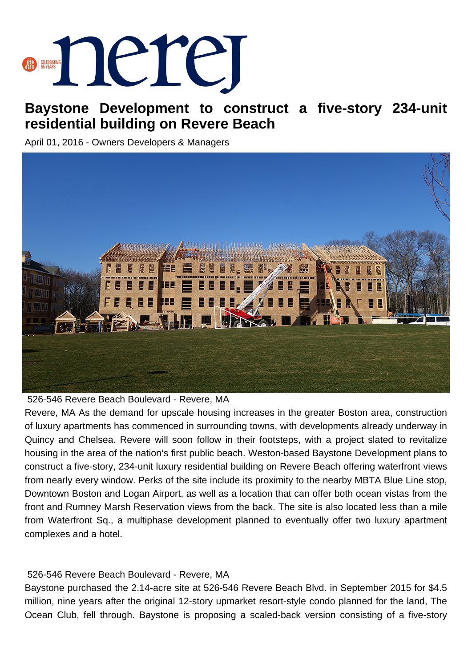

## **Baystone Development to construct a five-story 234-unit residential building on Revere Beach**

April 01, 2016 - Owners Developers & Managers



526-546 Revere Beach Boulevard - Revere, MA

Revere, MA As the demand for upscale housing increases in the greater Boston area, construction of luxury apartments has commenced in surrounding towns, with developments already underway in Quincy and Chelsea. Revere will soon follow in their footsteps, with a project slated to revitalize housing in the area of the nation's first public beach. Weston-based Baystone Development plans to construct a five-story, 234-unit luxury residential building on Revere Beach offering waterfront views from nearly every window. Perks of the site include its proximity to the nearby MBTA Blue Line stop, Downtown Boston and Logan Airport, as well as a location that can offer both ocean vistas from the front and Rumney Marsh Reservation views from the back. The site is also located less than a mile from Waterfront Sq., a multiphase development planned to eventually offer two luxury apartment complexes and a hotel.

## 526-546 Revere Beach Boulevard - Revere, MA

Baystone purchased the 2.14-acre site at 526-546 Revere Beach Blvd. in September 2015 for \$4.5 million, nine years after the original 12-story upmarket resort-style condo planned for the land, The Ocean Club, fell through. Baystone is proposing a scaled-back version consisting of a five-story